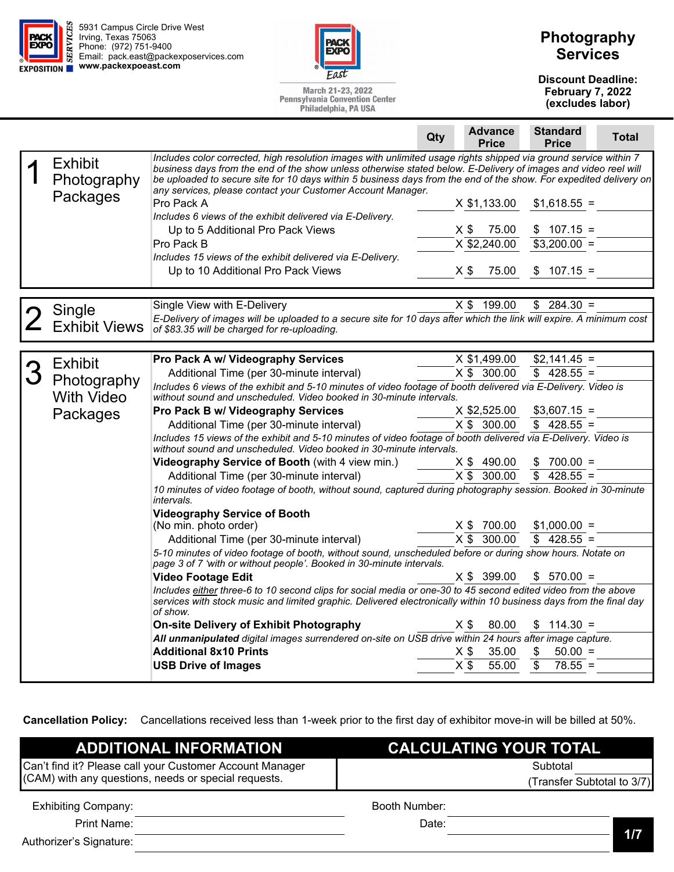



March 21-23, 2022 **Pennsylvania Convention Center** Philadelphia, PA USA

## **Photography Services**

**Discount Deadline: February 7, 2022 (excludes labor)** 

|                               |                                                                                                                                                                                                                                                                                                                                                                                                                        | Qty | <b>Advance</b><br><b>Price</b> | <b>Standard</b><br><b>Price</b> | Total |
|-------------------------------|------------------------------------------------------------------------------------------------------------------------------------------------------------------------------------------------------------------------------------------------------------------------------------------------------------------------------------------------------------------------------------------------------------------------|-----|--------------------------------|---------------------------------|-------|
| <b>Exhibit</b><br>Photography | Includes color corrected, high resolution images with unlimited usage rights shipped via ground service within 7<br>business days from the end of the show unless otherwise stated below. E-Delivery of images and video reel will<br>be uploaded to secure site for 10 days within 5 business days from the end of the show. For expedited delivery on<br>any services, please contact your Customer Account Manager. |     |                                |                                 |       |
| Packages                      | Pro Pack A                                                                                                                                                                                                                                                                                                                                                                                                             |     | $X$ \$1,133.00                 | $$1,618.55 =$                   |       |
|                               | Includes 6 views of the exhibit delivered via E-Delivery.                                                                                                                                                                                                                                                                                                                                                              |     |                                |                                 |       |
|                               | Up to 5 Additional Pro Pack Views                                                                                                                                                                                                                                                                                                                                                                                      |     | $X$ \$<br>75.00                | $$107.15 =$                     |       |
|                               | Pro Pack B                                                                                                                                                                                                                                                                                                                                                                                                             |     | X \$2,240.00                   | $$3,200.00 =$                   |       |
|                               | Includes 15 views of the exhibit delivered via E-Delivery.<br>Up to 10 Additional Pro Pack Views                                                                                                                                                                                                                                                                                                                       |     | $X$ \$<br>75.00                | $$107.15 =$                     |       |
|                               |                                                                                                                                                                                                                                                                                                                                                                                                                        |     |                                |                                 |       |
|                               | Single View with E-Delivery                                                                                                                                                                                                                                                                                                                                                                                            |     | X \$ 199.00                    | $$284.30 =$                     |       |
| Single                        | E-Delivery of images will be uploaded to a secure site for 10 days after which the link will expire. A minimum cost                                                                                                                                                                                                                                                                                                    |     |                                |                                 |       |
| <b>Exhibit Views</b>          | of \$83.35 will be charged for re-uploading.                                                                                                                                                                                                                                                                                                                                                                           |     |                                |                                 |       |
|                               |                                                                                                                                                                                                                                                                                                                                                                                                                        |     |                                |                                 |       |
| <b>Exhibit</b>                | Pro Pack A w/ Videography Services                                                                                                                                                                                                                                                                                                                                                                                     |     | X \$1,499.00                   | $$2,141.45 =$                   |       |
| Photography                   | Additional Time (per 30-minute interval)                                                                                                                                                                                                                                                                                                                                                                               |     | X \$ 300.00                    | $$428.55 =$                     |       |
| <b>With Video</b>             | Includes 6 views of the exhibit and 5-10 minutes of video footage of booth delivered via E-Delivery. Video is<br>without sound and unscheduled. Video booked in 30-minute intervals.                                                                                                                                                                                                                                   |     |                                |                                 |       |
|                               | Pro Pack B w/ Videography Services                                                                                                                                                                                                                                                                                                                                                                                     |     | X \$2,525.00                   | $$3,607.15 =$                   |       |
| Packages                      | Additional Time (per 30-minute interval)                                                                                                                                                                                                                                                                                                                                                                               |     | X \$ 300.00                    | $$428.55 =$                     |       |
|                               | Includes 15 views of the exhibit and 5-10 minutes of video footage of booth delivered via E-Delivery. Video is<br>without sound and unscheduled. Video booked in 30-minute intervals.                                                                                                                                                                                                                                  |     |                                |                                 |       |
|                               | Videography Service of Booth (with 4 view min.)                                                                                                                                                                                                                                                                                                                                                                        |     | $X$ \$ 490.00                  | \$<br>$700.00 =$                |       |
|                               | Additional Time (per 30-minute interval)                                                                                                                                                                                                                                                                                                                                                                               |     | X \$ 300.00                    | $$428.55 =$                     |       |
|                               | 10 minutes of video footage of booth, without sound, captured during photography session. Booked in 30-minute<br>intervals.                                                                                                                                                                                                                                                                                            |     |                                |                                 |       |
|                               | <b>Videography Service of Booth</b>                                                                                                                                                                                                                                                                                                                                                                                    |     |                                |                                 |       |
|                               | (No min. photo order)                                                                                                                                                                                                                                                                                                                                                                                                  |     | X \$ 700.00                    | $$1,000.00 =$                   |       |
|                               | Additional Time (per 30-minute interval)                                                                                                                                                                                                                                                                                                                                                                               |     | $X \$ 300.00                   | $$428.55 =$                     |       |
|                               | 5-10 minutes of video footage of booth, without sound, unscheduled before or during show hours. Notate on<br>page 3 of 7 'with or without people'. Booked in 30-minute intervals.                                                                                                                                                                                                                                      |     |                                |                                 |       |
|                               | <b>Video Footage Edit</b>                                                                                                                                                                                                                                                                                                                                                                                              |     | X \$ 399.00                    | $$570.00 =$                     |       |
|                               | Includes either three-6 to 10 second clips for social media or one-30 to 45 second edited video from the above<br>services with stock music and limited graphic. Delivered electronically within 10 business days from the final day<br>of show.                                                                                                                                                                       |     |                                |                                 |       |
|                               | On-site Delivery of Exhibit Photography                                                                                                                                                                                                                                                                                                                                                                                |     | 80.00<br>X \$                  | $$114.30 =$                     |       |
|                               | All unmanipulated digital images surrendered on-site on USB drive within 24 hours after image capture.                                                                                                                                                                                                                                                                                                                 |     |                                |                                 |       |
|                               | <b>Additional 8x10 Prints</b>                                                                                                                                                                                                                                                                                                                                                                                          |     | 35.00<br>$X$ \$                | \$<br>$50.00 =$                 |       |
|                               | <b>USB Drive of Images</b>                                                                                                                                                                                                                                                                                                                                                                                             |     | $X\overline{\$}$<br>55.00      | \$<br>$78.55 =$                 |       |
|                               |                                                                                                                                                                                                                                                                                                                                                                                                                        |     |                                |                                 |       |

**Cancellation Policy:** Cancellations received less than 1-week prior to the first day of exhibitor move-in will be billed at 50%.

| <b>ADDITIONAL INFORMATION</b>                            | <b>CALCULATING YOUR TOTAL</b> |  |  |  |
|----------------------------------------------------------|-------------------------------|--|--|--|
| Can't find it? Please call your Customer Account Manager | Subtotal                      |  |  |  |
| (CAM) with any questions, needs or special requests.     | (Transfer Subtotal to 3/7)    |  |  |  |
| <b>Exhibiting Company:</b>                               | Booth Number:                 |  |  |  |
| Print Name:                                              | Date:                         |  |  |  |

Authorizer's Signature:

**1/7**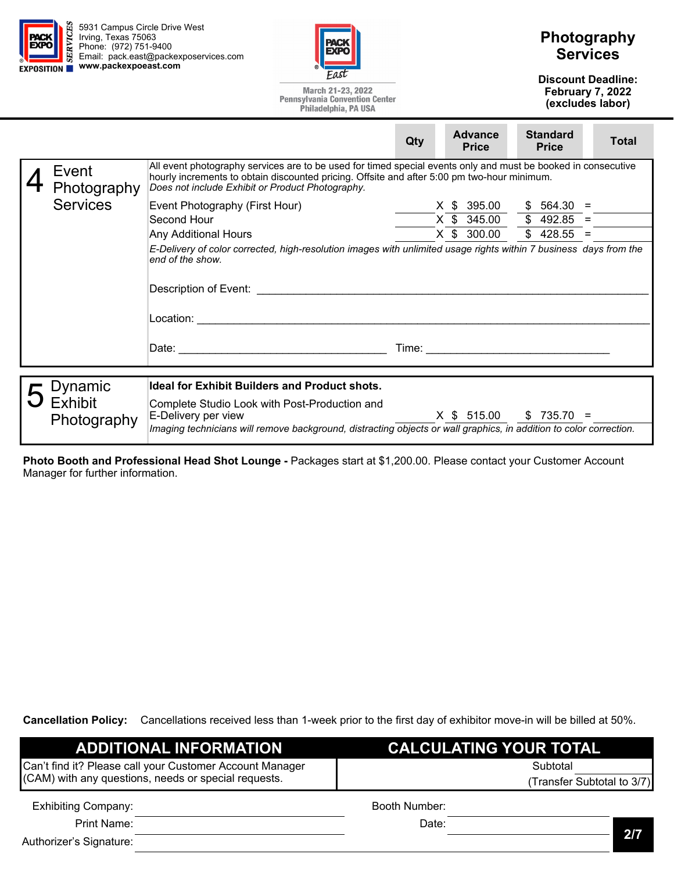



March 21-23, 2022 **Pennsylvania Convention Center** Philadelphia, PA USA

## **Photography Services**

**Discount Deadline: February 7, 2022 (excludes labor)** 

|                      |                                                                                                                                                                                                                                                                                                                                                                                                                                                                                                                                                                                                           | Qty | <b>Advance</b><br><b>Price</b> | <b>Standard</b><br><b>Price</b> | <b>Total</b> |
|----------------------|-----------------------------------------------------------------------------------------------------------------------------------------------------------------------------------------------------------------------------------------------------------------------------------------------------------------------------------------------------------------------------------------------------------------------------------------------------------------------------------------------------------------------------------------------------------------------------------------------------------|-----|--------------------------------|---------------------------------|--------------|
| Event<br>Photography | All event photography services are to be used for timed special events only and must be booked in consecutive<br>hourly increments to obtain discounted pricing. Offsite and after 5:00 pm two-hour minimum.<br>Does not include Exhibit or Product Photography.                                                                                                                                                                                                                                                                                                                                          |     |                                |                                 |              |
| <b>Services</b>      | Event Photography (First Hour)                                                                                                                                                                                                                                                                                                                                                                                                                                                                                                                                                                            |     | X \$ 395.00                    | $$564.30 =$                     |              |
|                      | Second Hour                                                                                                                                                                                                                                                                                                                                                                                                                                                                                                                                                                                               |     | $X$ \$ 345.00 \$ 492.85 =      |                                 |              |
|                      | Any Additional Hours                                                                                                                                                                                                                                                                                                                                                                                                                                                                                                                                                                                      |     | X \$ 300.00                    | $$428.55 =$                     |              |
|                      | E-Delivery of color corrected, high-resolution images with unlimited usage rights within 7 business days from the<br>end of the show.<br>Description of Event: the contract of the contract of the contract of the contract of the contract of the contract of the contract of the contract of the contract of the contract of the contract of the contract of the cont<br>Date: the contract of the contract of the contract of the contract of the contract of the contract of the contract of the contract of the contract of the contract of the contract of the contract of the contract of the cont |     |                                |                                 |              |
| ⁄namic               | <b>Ideal for Exhibit Builders and Product shots.</b>                                                                                                                                                                                                                                                                                                                                                                                                                                                                                                                                                      |     |                                |                                 |              |

| $\overline{\phantom{a}}$ Dynamic | Ideal for Exhibit Builders and Product shots.                                                                      |
|----------------------------------|--------------------------------------------------------------------------------------------------------------------|
| $\overline{O}$ Exhibit           | Complete Studio Look with Post-Production and                                                                      |
| Photography                      | X \$ 515.00<br>$$735.70 =$<br>∣E-Delivery per view                                                                 |
|                                  | Imaging technicians will remove background, distracting objects or wall graphics, in addition to color correction. |

**Photo Booth and Professional Head Shot Lounge -** Packages start at \$1,200.00. Please contact your Customer Account Manager for further information.

**Cancellation Policy:** Cancellations received less than 1-week prior to the first day of exhibitor move-in will be billed at 50%.

| <b>ADDITIONAL INFORMATION</b>                            | <b>CALCULATING YOUR TOTAL</b> |          |  |  |
|----------------------------------------------------------|-------------------------------|----------|--|--|
| Can't find it? Please call your Customer Account Manager |                               | Subtotal |  |  |
| (CAM) with any questions, needs or special requests.     | (Transfer Subtotal to 3/7)    |          |  |  |
| <b>Exhibiting Company:</b>                               | Booth Number:                 |          |  |  |
| Print Name:                                              | Date:                         |          |  |  |
| Authorizer's Signature:                                  |                               | 2/7      |  |  |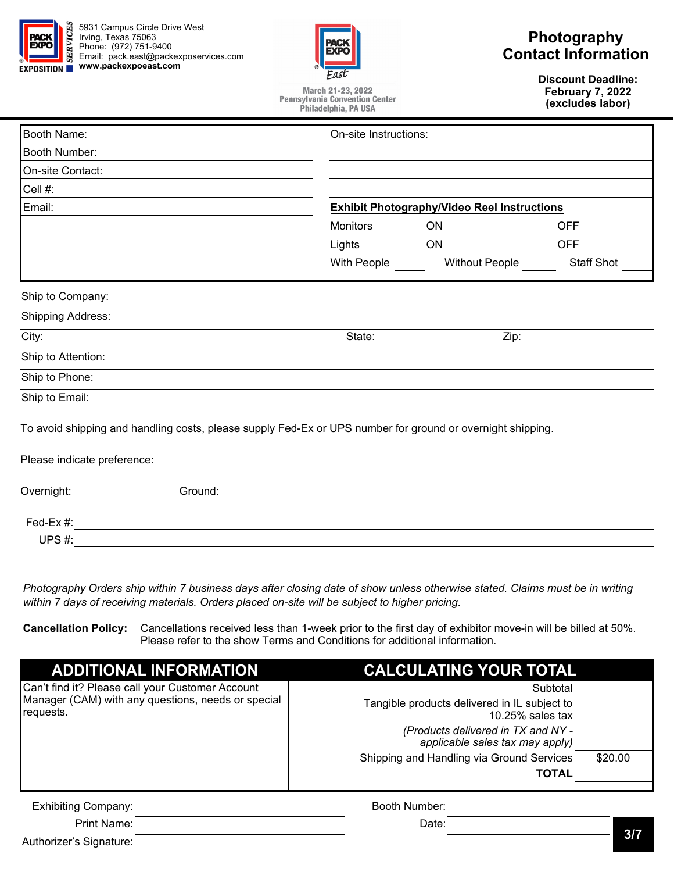

5931 Campus Circle Drive West Irving, Texas 75063 Phone: (972) 751-9400 Email: pack.east@packexposervices.com **EXPOSITION WWW.packexpoeast.com** 



### **Photography Contact Information**

**Discount Deadline: February 7, 2022 (excludes labor)** 

| March 21-23, 2022                     |
|---------------------------------------|
| <b>Pennsylvania Convention Center</b> |
| Philadelphia, PA USA                  |

| Booth Name:<br>On-site Instructions:                                                                       |                 |                                                    |            |  |
|------------------------------------------------------------------------------------------------------------|-----------------|----------------------------------------------------|------------|--|
| Booth Number:                                                                                              |                 |                                                    |            |  |
| On-site Contact:                                                                                           |                 |                                                    |            |  |
| Cell #:                                                                                                    |                 |                                                    |            |  |
| Email:                                                                                                     |                 | <b>Exhibit Photography/Video Reel Instructions</b> |            |  |
|                                                                                                            | <b>Monitors</b> | ON                                                 | <b>OFF</b> |  |
|                                                                                                            | Lights          | ON                                                 | <b>OFF</b> |  |
|                                                                                                            | With People     | <b>Without People</b>                              | Staff Shot |  |
|                                                                                                            |                 |                                                    |            |  |
| Ship to Company:                                                                                           |                 |                                                    |            |  |
| <b>Shipping Address:</b>                                                                                   |                 |                                                    |            |  |
| City:                                                                                                      | State:          | Zip:                                               |            |  |
| Ship to Attention:                                                                                         |                 |                                                    |            |  |
| Ship to Phone:                                                                                             |                 |                                                    |            |  |
| Ship to Email:                                                                                             |                 |                                                    |            |  |
| To avoid shipping and handling costs, please supply Fed-Ex or UPS number for ground or overnight shipping. |                 |                                                    |            |  |
| Please indicate preference:                                                                                |                 |                                                    |            |  |
| Overnight:<br>Ground:                                                                                      |                 |                                                    |            |  |
| Fed-Ex #:                                                                                                  |                 |                                                    |            |  |

*Photography Orders ship within 7 business days after closing date of show unless otherwise stated. Claims must be in writing* 

*within 7 days of receiving materials. Orders placed on-site will be subject to higher pricing.* 

**Cancellation Policy:** Cancellations received less than 1-week prior to the first day of exhibitor move-in will be billed at 50%. Please refer to the show Terms and Conditions for additional information.

| <b>ADDITIONAL INFORMATION</b>                                   | <b>CALCULATING YOUR TOTAL</b>                                         |         |
|-----------------------------------------------------------------|-----------------------------------------------------------------------|---------|
| Can't find it? Please call your Customer Account                | Subtotal                                                              |         |
| Manager (CAM) with any questions, needs or special<br>requests. | Tangible products delivered in IL subject to<br>$10.25\%$ sales tax   |         |
|                                                                 | (Products delivered in TX and NY -<br>applicable sales tax may apply) |         |
|                                                                 | Shipping and Handling via Ground Services                             | \$20.00 |
|                                                                 | <b>TOTAL</b>                                                          |         |
| <b>Exhibiting Company:</b>                                      | Booth Number:                                                         |         |
| Print Name:                                                     | Date:                                                                 |         |

Authorizer's Signature:

UPS #: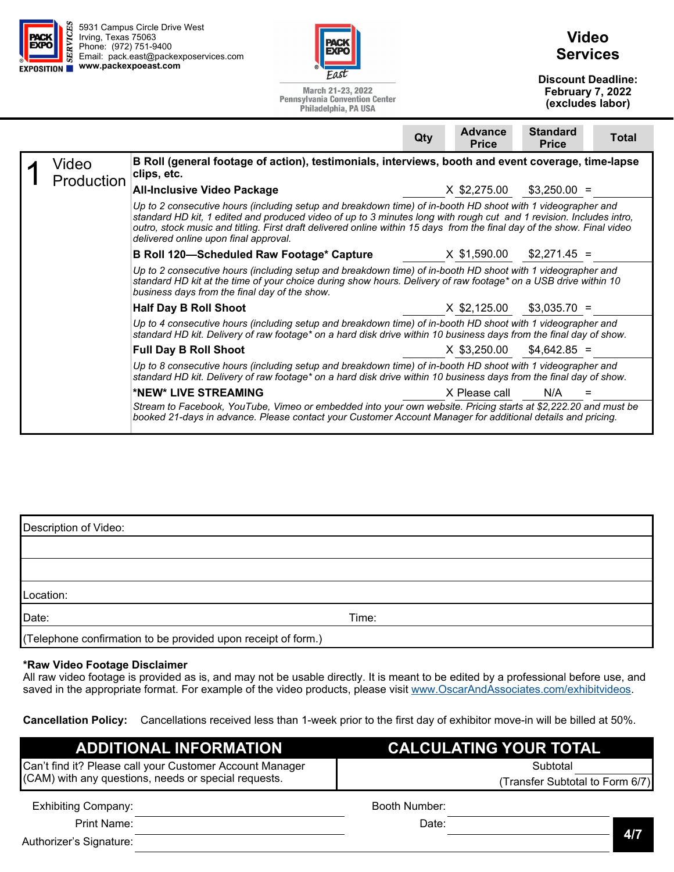| <b>PACI</b><br><b>EXPO</b><br>EXPOSITION | Irving, Texas 75063<br>Phone: (972) 751-9400                                                                                                                                                                                                                                    | 5931 Campus Circle Drive West<br>Email: pack.east@packexposervices.com<br>www.packexpoeast.com                                                                                                                                                                                                                                                                                                         | Fast<br>March 21-23, 2022<br><b>Pennsylvania Convention Center</b><br>Philadelphia, PA USA |     |                                | <b>Video</b><br><b>Services</b><br><b>Discount Deadline:</b><br>February 7, 2022 | (excludes labor) |
|------------------------------------------|---------------------------------------------------------------------------------------------------------------------------------------------------------------------------------------------------------------------------------------------------------------------------------|--------------------------------------------------------------------------------------------------------------------------------------------------------------------------------------------------------------------------------------------------------------------------------------------------------------------------------------------------------------------------------------------------------|--------------------------------------------------------------------------------------------|-----|--------------------------------|----------------------------------------------------------------------------------|------------------|
|                                          |                                                                                                                                                                                                                                                                                 |                                                                                                                                                                                                                                                                                                                                                                                                        |                                                                                            | Qty | <b>Advance</b><br><b>Price</b> | <b>Standard</b><br><b>Price</b>                                                  | <b>Total</b>     |
|                                          | Video<br>Production                                                                                                                                                                                                                                                             | B Roll (general footage of action), testimonials, interviews, booth and event coverage, time-lapse<br>clips, etc.                                                                                                                                                                                                                                                                                      |                                                                                            |     |                                |                                                                                  |                  |
|                                          |                                                                                                                                                                                                                                                                                 | <b>All-Inclusive Video Package</b>                                                                                                                                                                                                                                                                                                                                                                     |                                                                                            |     | X \$2,275.00                   | $$3,250.00 =$                                                                    |                  |
|                                          |                                                                                                                                                                                                                                                                                 | Up to 2 consecutive hours (including setup and breakdown time) of in-booth HD shoot with 1 videographer and<br>standard HD kit, 1 edited and produced video of up to 3 minutes long with rough cut and 1 revision. Includes intro,<br>outro, stock music and titling. First draft delivered online within 15 days from the final day of the show. Final video<br>delivered online upon final approval. |                                                                                            |     |                                |                                                                                  |                  |
|                                          |                                                                                                                                                                                                                                                                                 | <b>B Roll 120-Scheduled Raw Footage* Capture</b>                                                                                                                                                                                                                                                                                                                                                       |                                                                                            |     | X \$1,590.00                   | $$2.271.45 =$                                                                    |                  |
|                                          | Up to 2 consecutive hours (including setup and breakdown time) of in-booth HD shoot with 1 videographer and<br>standard HD kit at the time of your choice during show hours. Delivery of raw footage* on a USB drive within 10<br>business days from the final day of the show. |                                                                                                                                                                                                                                                                                                                                                                                                        |                                                                                            |     |                                |                                                                                  |                  |
|                                          |                                                                                                                                                                                                                                                                                 | <b>Half Day B Roll Shoot</b>                                                                                                                                                                                                                                                                                                                                                                           |                                                                                            |     | X \$2,125.00                   | $$3,035.70 =$                                                                    |                  |
|                                          |                                                                                                                                                                                                                                                                                 | Up to 4 consecutive hours (including setup and breakdown time) of in-booth HD shoot with 1 videographer and<br>standard HD kit. Delivery of raw footage* on a hard disk drive within 10 business days from the final day of show.                                                                                                                                                                      |                                                                                            |     |                                |                                                                                  |                  |
|                                          |                                                                                                                                                                                                                                                                                 | <b>Full Day B Roll Shoot</b>                                                                                                                                                                                                                                                                                                                                                                           |                                                                                            |     | X \$3,250.00                   | $$4,642.85 =$                                                                    |                  |
|                                          |                                                                                                                                                                                                                                                                                 | Up to 8 consecutive hours (including setup and breakdown time) of in-booth HD shoot with 1 videographer and<br>standard HD kit. Delivery of raw footage* on a hard disk drive within 10 business days from the final day of show.                                                                                                                                                                      |                                                                                            |     |                                |                                                                                  |                  |
|                                          |                                                                                                                                                                                                                                                                                 | *NEW* LIVE STREAMING                                                                                                                                                                                                                                                                                                                                                                                   |                                                                                            |     | X Please call                  | N/A                                                                              |                  |
|                                          |                                                                                                                                                                                                                                                                                 | Stream to Facebook, YouTube, Vimeo or embedded into your own website. Pricing starts at \$2,222.20 and must be<br>booked 21-days in advance. Please contact your Customer Account Manager for additional details and pricing.                                                                                                                                                                          |                                                                                            |     |                                |                                                                                  |                  |

| Description of Video:                                         |       |  |  |  |  |  |
|---------------------------------------------------------------|-------|--|--|--|--|--|
|                                                               |       |  |  |  |  |  |
|                                                               |       |  |  |  |  |  |
| Location:                                                     |       |  |  |  |  |  |
| Date:                                                         | Time: |  |  |  |  |  |
| (Telephone confirmation to be provided upon receipt of form.) |       |  |  |  |  |  |

### **\*Raw Video Footage Disclaimer**

All raw video footage is provided as is, and may not be usable directly. It is meant to be edited by a professional before use, and saved in the appropriate format. For example of the video products, please visit www.OscarAndAssociates.com/exhibitvideos.

**Cancellation Policy:** Cancellations received less than 1-week prior to the first day of exhibitor move-in will be billed at 50%.

| <b>ADDITIONAL INFORMATION</b>                            | CALCULATING YOUR TOTAL          |  |  |  |
|----------------------------------------------------------|---------------------------------|--|--|--|
| Can't find it? Please call your Customer Account Manager | Subtotal                        |  |  |  |
| (CAM) with any questions, needs or special requests.     | (Transfer Subtotal to Form 6/7) |  |  |  |
| <b>Exhibiting Company:</b>                               | Booth Number:                   |  |  |  |
| Print Name:                                              | Date:                           |  |  |  |
| Authorizor's Rignaturo:                                  | <b>47</b>                       |  |  |  |

Authorizer's Signature: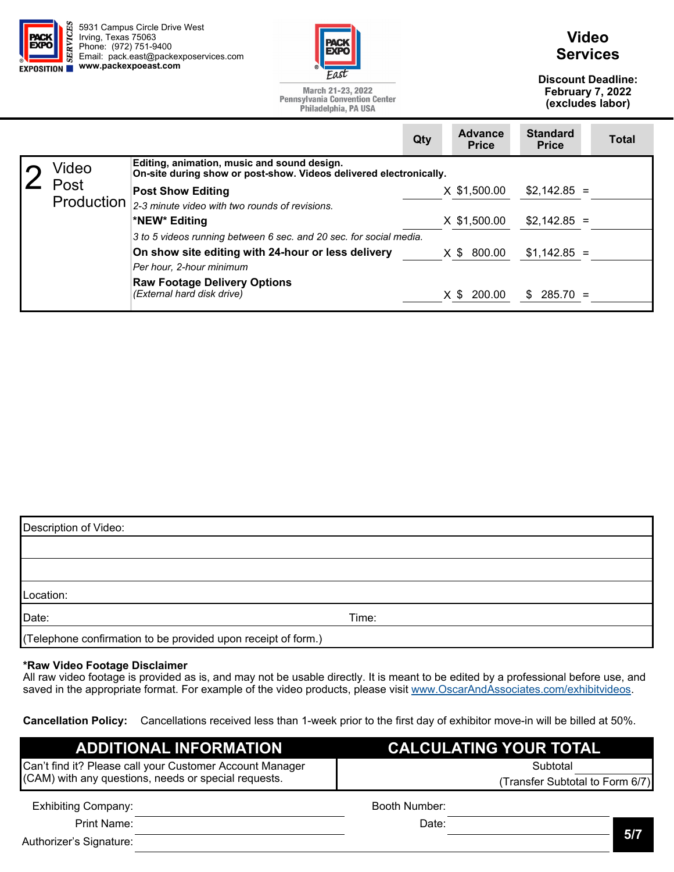



March 21-23, 2022

## **Video Services**

**Discount Deadline: February 7, 2022 (excludes labor)** 

**Price Total** 

**Standard** 

**Pennsylvania Convention Center** Philadelphia, PA USA **Qty Advance Price** 

| Video      | Editing, animation, music and sound design.<br>On-site during show or post-show. Videos delivered electronically. |               |               |  |  |
|------------|-------------------------------------------------------------------------------------------------------------------|---------------|---------------|--|--|
| Post       | <b>Post Show Editing</b>                                                                                          | X \$1,500.00  | $$2,142.85 =$ |  |  |
| Production | 2-3 minute video with two rounds of revisions.                                                                    |               |               |  |  |
|            | *NEW* Editing                                                                                                     | X \$1,500.00  | $$2,142.85 =$ |  |  |
|            | 3 to 5 videos running between 6 sec. and 20 sec. for social media.                                                |               |               |  |  |
|            | On show site editing with 24-hour or less delivery                                                                | X \$ 800.00   | $$1,142.85 =$ |  |  |
|            | Per hour, 2-hour minimum                                                                                          |               |               |  |  |
|            | <b>Raw Footage Delivery Options</b><br>(External hard disk drive)                                                 | $X$ \$ 200.00 | $$285.70 =$   |  |  |

| Description of Video:                                         |       |  |
|---------------------------------------------------------------|-------|--|
|                                                               |       |  |
|                                                               |       |  |
| Location:                                                     |       |  |
| Date:                                                         | Time: |  |
| (Telephone confirmation to be provided upon receipt of form.) |       |  |

#### **\*Raw Video Footage Disclaimer**

All raw video footage is provided as is, and may not be usable directly. It is meant to be edited by a professional before use, and saved in the appropriate format. For example of the video products, please visit www.OscarAndAssociates.com/exhibitvideos.

**Cancellation Policy:** Cancellations received less than 1-week prior to the first day of exhibitor move-in will be billed at 50%.

| <b>ADDITIONAL INFORMATION</b>                            | CALCULATING YOUR TOTAL          |  |
|----------------------------------------------------------|---------------------------------|--|
| Can't find it? Please call your Customer Account Manager | Subtotal                        |  |
| (CAM) with any questions, needs or special requests.     | (Transfer Subtotal to Form 6/7) |  |
| <b>Exhibiting Company:</b>                               | Booth Number:                   |  |
| <b>Print Name:</b>                                       | Date:                           |  |
| Authorizer's Signature:                                  | 5/7                             |  |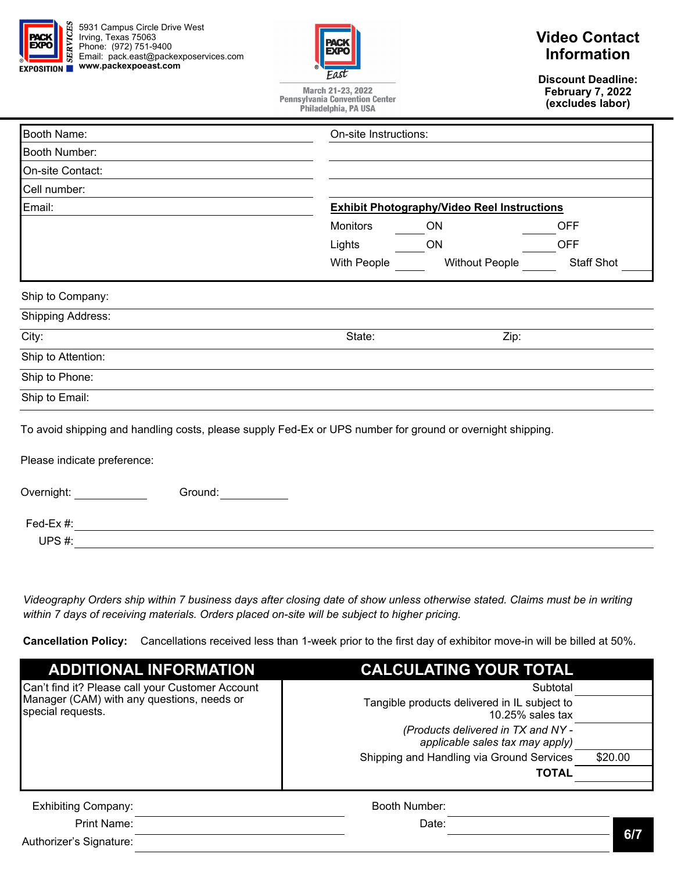

5931 Campus Circle Drive West Irving, Texas 75063 Phone: (972) 751-9400 Email: pack.east@packexposervices.com **EXPOSITION WWW.packexpoeast.com** 



March 21-23, 2022 **Pennsylvania Convention Center** Philadelphia, PA USA

# **Video Contact Information**

**Discount Deadline: February 7, 2022 (excludes labor)** 

| <b>Booth Name:</b>                                                                                                                        | On-site Instructions: |                                                    |                   |  |
|-------------------------------------------------------------------------------------------------------------------------------------------|-----------------------|----------------------------------------------------|-------------------|--|
| Booth Number:                                                                                                                             |                       |                                                    |                   |  |
| On-site Contact:                                                                                                                          |                       |                                                    |                   |  |
| Cell number:                                                                                                                              |                       |                                                    |                   |  |
| Email:                                                                                                                                    |                       | <b>Exhibit Photography/Video Reel Instructions</b> |                   |  |
|                                                                                                                                           | <b>Monitors</b>       | <b>ON</b>                                          | <b>OFF</b>        |  |
|                                                                                                                                           | Lights                | ON                                                 | <b>OFF</b>        |  |
|                                                                                                                                           | With People           | <b>Without People</b>                              | <b>Staff Shot</b> |  |
| Ship to Company:                                                                                                                          |                       |                                                    |                   |  |
| <b>Shipping Address:</b>                                                                                                                  |                       |                                                    |                   |  |
| City:                                                                                                                                     | State:                | Zip:                                               |                   |  |
| Ship to Attention:                                                                                                                        |                       |                                                    |                   |  |
| Ship to Phone:                                                                                                                            |                       |                                                    |                   |  |
| Ship to Email:                                                                                                                            |                       |                                                    |                   |  |
| To avoid shipping and handling costs, please supply Fed-Ex or UPS number for ground or overnight shipping.<br>Please indicate preference: |                       |                                                    |                   |  |
| Overnight:<br>Ground:<br>Fed-Ex #:                                                                                                        |                       |                                                    |                   |  |

UPS #:

*Videography Orders ship within 7 business days after closing date of show unless otherwise stated. Claims must be in writing within 7 days of receiving materials. Orders placed on-site will be subject to higher pricing.* 

**Cancellation Policy:** Cancellations received less than 1-week prior to the first day of exhibitor move-in will be billed at 50%.

| <b>ADDITIONAL INFORMATION</b>                                   | <b>CALCULATING YOUR TOTAL</b>                                         |         |
|-----------------------------------------------------------------|-----------------------------------------------------------------------|---------|
| Can't find it? Please call your Customer Account                | Subtotal                                                              |         |
| Manager (CAM) with any questions, needs or<br>special requests. | Tangible products delivered in IL subject to<br>$10.25\%$ sales tax   |         |
|                                                                 | (Products delivered in TX and NY -<br>applicable sales tax may apply) |         |
|                                                                 | Shipping and Handling via Ground Services                             | \$20.00 |
|                                                                 | <b>TOTAL</b>                                                          |         |
| <b>Exhibiting Company:</b>                                      | Booth Number:                                                         |         |
| Print Name:                                                     | Date:                                                                 |         |

Authorizer's Signature: